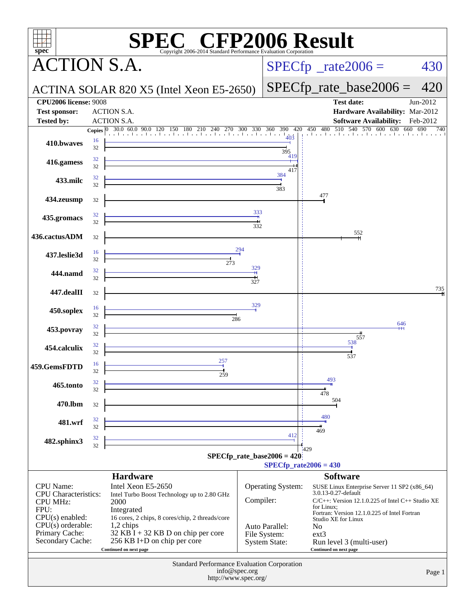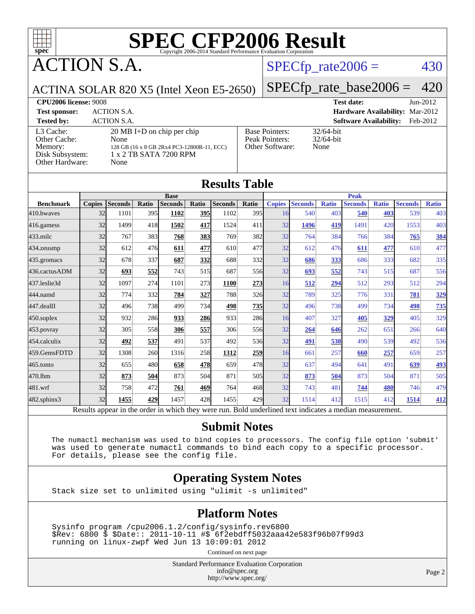

ACTION S.A.

### $SPECTp_rate2006 = 430$

#### ACTINA SOLAR 820 X5 (Intel Xeon E5-2650)

[SPECfp\\_rate\\_base2006 =](http://www.spec.org/auto/cpu2006/Docs/result-fields.html#SPECfpratebase2006) 420

**[CPU2006 license:](http://www.spec.org/auto/cpu2006/Docs/result-fields.html#CPU2006license)** 9008 **[Test date:](http://www.spec.org/auto/cpu2006/Docs/result-fields.html#Testdate)** Jun-2012 **[Test sponsor:](http://www.spec.org/auto/cpu2006/Docs/result-fields.html#Testsponsor)** ACTION S.A. **[Hardware Availability:](http://www.spec.org/auto/cpu2006/Docs/result-fields.html#HardwareAvailability)** Mar-2012 **[Tested by:](http://www.spec.org/auto/cpu2006/Docs/result-fields.html#Testedby)** ACTION S.A. **[Software Availability:](http://www.spec.org/auto/cpu2006/Docs/result-fields.html#SoftwareAvailability)** Feb-2012

[L3 Cache:](http://www.spec.org/auto/cpu2006/Docs/result-fields.html#L3Cache) 20 MB I+D on chip per chip<br>Other Cache: None [Other Cache:](http://www.spec.org/auto/cpu2006/Docs/result-fields.html#OtherCache) [Memory:](http://www.spec.org/auto/cpu2006/Docs/result-fields.html#Memory) 128 GB (16 x 8 GB 2Rx4 PC3-12800R-11, ECC) [Disk Subsystem:](http://www.spec.org/auto/cpu2006/Docs/result-fields.html#DiskSubsystem) 1 x 2 TB SATA 7200 RPM [Other Hardware:](http://www.spec.org/auto/cpu2006/Docs/result-fields.html#OtherHardware) None

| <b>Base Pointers:</b><br>Peak Pointers:<br>Other Software: |
|------------------------------------------------------------|
|                                                            |

 $32/64$ -bit 32/64-bit None

|                  | <b>Base</b>   |                |       |                |       |                |               | <b>Peak</b>   |                |              |                |              |                |              |
|------------------|---------------|----------------|-------|----------------|-------|----------------|---------------|---------------|----------------|--------------|----------------|--------------|----------------|--------------|
| <b>Benchmark</b> | <b>Copies</b> | <b>Seconds</b> | Ratio | <b>Seconds</b> | Ratio | <b>Seconds</b> | Ratio         | <b>Copies</b> | <b>Seconds</b> | <b>Ratio</b> | <b>Seconds</b> | <b>Ratio</b> | <b>Seconds</b> | <b>Ratio</b> |
| 410.bwayes       | 32            | 1101           | 395   | 1102           | 395   | 1102           | 395           | 16            | 540            | 403          | 540            | 403          | 539            | 403          |
| 416.gamess       | 32            | 1499           | 418   | 1502           | 417   | 1524           | 411           | 32            | 1496           | 419          | 1491           | 420          | 1553           | 403          |
| $433$ .milc      | 32            | 767            | 383   | 768            | 383   | 769            | 382           | 32            | 764            | 384          | 766            | 384          | 765            | 384          |
| 434.zeusmp       | 32            | 612            | 476   | 611            | 477   | 610            | 477           | 32            | 612            | 476          | 611            | 477          | 610            | 477          |
| 435.gromacs      | 32            | 678            | 337   | 687            | 332   | 688            | 332l          | 32            | 686            | 333          | 686            | 333          | 682            | 335          |
| 436.cactusADM    | 32            | 693            | 552   | 743            | 515   | 687            | 556           | 32            | 693            | 552          | 743            | 515          | 687            | 556          |
| 437.leslie3d     | 32            | 1097           | 274   | 1101           | 273   | <b>1100</b>    | <u> 273  </u> | 16            | 512            | 294          | 512            | 293          | 512            | 294          |
| 444.namd         | 32            | 774            | 332   | 784            | 327   | 788            | <b>326</b>    | 32            | 789            | 325          | 776            | 331          | 781            | 329          |
| 447.dealII       | 32            | 496            | 738   | 499            | 734   | 498            | 735           | 32            | 496            | 738          | 499            | 734          | 498            | 735          |
| $450$ .soplex    | 32            | 932            | 286   | 933            | 286   | 933            | 286           | 16            | 407            | 327          | 405            | 329          | 405            | 329          |
| 453.povray       | 32            | 305            | 558   | 306            | 557   | 306            | 556           | 32            | 264            | 646          | 262            | 651          | 266            | 640          |
| 454.calculix     | 32            | 492            | 537   | 491            | 537   | 492            | 536I          | 32            | 491            | 538          | 490            | 539          | 492            | 536          |
| 459.GemsFDTD     | 32            | 1308           | 260   | 1316           | 258   | 1312           | 259           | 16            | 661            | 257          | 660            | 257          | 659            | 257          |
| 465.tonto        | 32            | 655            | 480   | 658            | 478   | 659            | 478           | 32            | 637            | 494          | 641            | 491          | 639            | 493          |
| 470.1bm          | 32            | 873            | 504   | 873            | 504   | 871            | 505           | 32            | 873            | 504          | 873            | 504          | 871            | 505          |
| 481.wrf          | 32            | 758            | 472   | 761            | 469   | 764            | 468           | 32            | 743            | 481          | 744            | 480          | 746            | 479          |
| 482.sphinx3      | 32            | 1455           | 429   | 1457           | 428   | 1455           | 429           | 32            | 1514           | 412          | 1515           | 412          | 1514           | 412          |

### **[Submit Notes](http://www.spec.org/auto/cpu2006/Docs/result-fields.html#SubmitNotes)**

 The numactl mechanism was used to bind copies to processors. The config file option 'submit' was used to generate numactl commands to bind each copy to a specific processor. For details, please see the config file.

### **[Operating System Notes](http://www.spec.org/auto/cpu2006/Docs/result-fields.html#OperatingSystemNotes)**

Stack size set to unlimited using "ulimit -s unlimited"

### **[Platform Notes](http://www.spec.org/auto/cpu2006/Docs/result-fields.html#PlatformNotes)**

 Sysinfo program /cpu2006.1.2/config/sysinfo.rev6800 \$Rev: 6800 \$ \$Date:: 2011-10-11 #\$ 6f2ebdff5032aaa42e583f96b07f99d3 running on linux-zwpf Wed Jun 13 10:09:01 2012

Continued on next page

Standard Performance Evaluation Corporation [info@spec.org](mailto:info@spec.org) <http://www.spec.org/>

Page 2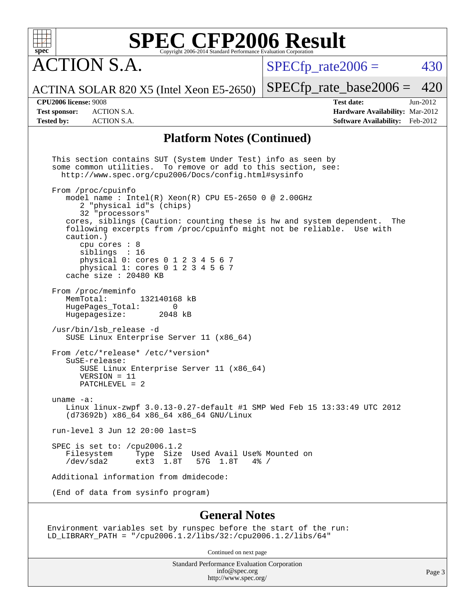

**CTION S.A.** 

 $SPECTp\_rate2006 = 430$ 

ACTINA SOLAR 820 X5 (Intel Xeon E5-2650)

[SPECfp\\_rate\\_base2006 =](http://www.spec.org/auto/cpu2006/Docs/result-fields.html#SPECfpratebase2006) 420

**[Tested by:](http://www.spec.org/auto/cpu2006/Docs/result-fields.html#Testedby)** ACTION S.A. **[Software Availability:](http://www.spec.org/auto/cpu2006/Docs/result-fields.html#SoftwareAvailability)** Feb-2012

**[CPU2006 license:](http://www.spec.org/auto/cpu2006/Docs/result-fields.html#CPU2006license)** 9008 **[Test date:](http://www.spec.org/auto/cpu2006/Docs/result-fields.html#Testdate)** Jun-2012 **[Test sponsor:](http://www.spec.org/auto/cpu2006/Docs/result-fields.html#Testsponsor)** ACTION S.A. **[Hardware Availability:](http://www.spec.org/auto/cpu2006/Docs/result-fields.html#HardwareAvailability)** Mar-2012

#### **[Platform Notes \(Continued\)](http://www.spec.org/auto/cpu2006/Docs/result-fields.html#PlatformNotes)**

 This section contains SUT (System Under Test) info as seen by some common utilities. To remove or add to this section, see: <http://www.spec.org/cpu2006/Docs/config.html#sysinfo> From /proc/cpuinfo model name : Intel(R)  $Xeon(R)$  CPU E5-2650 0 @ 2.00GHz 2 "physical id"s (chips) 32 "processors" cores, siblings (Caution: counting these is hw and system dependent. The following excerpts from /proc/cpuinfo might not be reliable. Use with caution.) cpu cores : 8 siblings : 16 physical 0: cores 0 1 2 3 4 5 6 7 physical 1: cores 0 1 2 3 4 5 6 7 cache size : 20480 KB From /proc/meminfo<br>MemTotal: 132140168 kB HugePages\_Total: 0 Hugepagesize: 2048 kB /usr/bin/lsb\_release -d SUSE Linux Enterprise Server 11 (x86\_64) From /etc/\*release\* /etc/\*version\* SuSE-release: SUSE Linux Enterprise Server 11 (x86\_64) VERSION = 11 PATCHLEVEL = 2 uname -a: Linux linux-zwpf 3.0.13-0.27-default #1 SMP Wed Feb 15 13:33:49 UTC 2012 (d73692b) x86\_64 x86\_64 x86\_64 GNU/Linux run-level 3 Jun 12 20:00 last=S SPEC is set to: /cpu2006.1.2 Filesystem Type Size Used Avail Use% Mounted on<br>
/dev/sda2 ext3 1.8T 57G 1.8T 4% / Type Size Used Avail Use% M<br>ext3 1.8T 57G 1.8T 4% / Additional information from dmidecode: (End of data from sysinfo program)

#### **[General Notes](http://www.spec.org/auto/cpu2006/Docs/result-fields.html#GeneralNotes)**

Environment variables set by runspec before the start of the run: LD\_LIBRARY\_PATH = "/cpu2006.1.2/libs/32:/cpu2006.1.2/libs/64"

Continued on next page

Standard Performance Evaluation Corporation [info@spec.org](mailto:info@spec.org) <http://www.spec.org/>

Page 3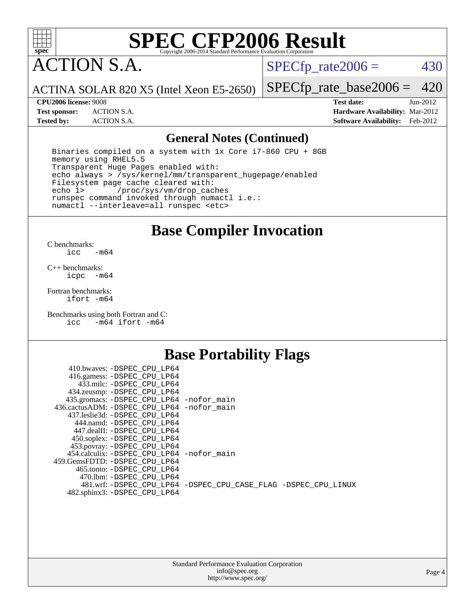

ACTION S.A.

 $SPECfp_rate2006 = 430$  $SPECfp_rate2006 = 430$ 

ACTINA SOLAR 820 X5 (Intel Xeon E5-2650)

[SPECfp\\_rate\\_base2006 =](http://www.spec.org/auto/cpu2006/Docs/result-fields.html#SPECfpratebase2006) 420

**[CPU2006 license:](http://www.spec.org/auto/cpu2006/Docs/result-fields.html#CPU2006license)** 9008 **[Test date:](http://www.spec.org/auto/cpu2006/Docs/result-fields.html#Testdate)** Jun-2012 **[Test sponsor:](http://www.spec.org/auto/cpu2006/Docs/result-fields.html#Testsponsor)** ACTION S.A. **[Hardware Availability:](http://www.spec.org/auto/cpu2006/Docs/result-fields.html#HardwareAvailability)** Mar-2012 **[Tested by:](http://www.spec.org/auto/cpu2006/Docs/result-fields.html#Testedby)** ACTION S.A. **[Software Availability:](http://www.spec.org/auto/cpu2006/Docs/result-fields.html#SoftwareAvailability)** Feb-2012

#### **[General Notes \(Continued\)](http://www.spec.org/auto/cpu2006/Docs/result-fields.html#GeneralNotes)**

 Binaries compiled on a system with 1x Core i7-860 CPU + 8GB memory using RHEL5.5 Transparent Huge Pages enabled with: echo always > /sys/kernel/mm/transparent\_hugepage/enabled Filesystem page cache cleared with:<br>echo 1> /proc/sys/vm/drop cac /proc/sys/vm/drop\_caches runspec command invoked through numactl i.e.: numactl --interleave=all runspec <etc>

**[Base Compiler Invocation](http://www.spec.org/auto/cpu2006/Docs/result-fields.html#BaseCompilerInvocation)**

 $C$  benchmarks:<br> $i_{\text{CC}}$  $-m64$ 

[C++ benchmarks:](http://www.spec.org/auto/cpu2006/Docs/result-fields.html#CXXbenchmarks) [icpc -m64](http://www.spec.org/cpu2006/results/res2012q3/cpu2006-20120618-22987.flags.html#user_CXXbase_intel_icpc_64bit_bedb90c1146cab66620883ef4f41a67e)

[Fortran benchmarks](http://www.spec.org/auto/cpu2006/Docs/result-fields.html#Fortranbenchmarks): [ifort -m64](http://www.spec.org/cpu2006/results/res2012q3/cpu2006-20120618-22987.flags.html#user_FCbase_intel_ifort_64bit_ee9d0fb25645d0210d97eb0527dcc06e)

[Benchmarks using both Fortran and C](http://www.spec.org/auto/cpu2006/Docs/result-fields.html#BenchmarksusingbothFortranandC): [icc -m64](http://www.spec.org/cpu2006/results/res2012q3/cpu2006-20120618-22987.flags.html#user_CC_FCbase_intel_icc_64bit_0b7121f5ab7cfabee23d88897260401c) [ifort -m64](http://www.spec.org/cpu2006/results/res2012q3/cpu2006-20120618-22987.flags.html#user_CC_FCbase_intel_ifort_64bit_ee9d0fb25645d0210d97eb0527dcc06e)

### **[Base Portability Flags](http://www.spec.org/auto/cpu2006/Docs/result-fields.html#BasePortabilityFlags)**

| 410.bwaves: -DSPEC CPU LP64                |                                                                |
|--------------------------------------------|----------------------------------------------------------------|
| 416.gamess: -DSPEC_CPU_LP64                |                                                                |
| 433.milc: -DSPEC CPU LP64                  |                                                                |
| 434.zeusmp: -DSPEC_CPU_LP64                |                                                                |
| 435.gromacs: -DSPEC_CPU_LP64 -nofor_main   |                                                                |
| 436.cactusADM: -DSPEC CPU LP64 -nofor main |                                                                |
| 437.leslie3d: -DSPEC CPU LP64              |                                                                |
| 444.namd: -DSPEC CPU LP64                  |                                                                |
| 447.dealII: -DSPEC_CPU LP64                |                                                                |
| 450.soplex: -DSPEC_CPU_LP64                |                                                                |
| 453.povray: -DSPEC_CPU_LP64                |                                                                |
| 454.calculix: -DSPEC CPU LP64 -nofor main  |                                                                |
| 459.GemsFDTD: -DSPEC CPU LP64              |                                                                |
| 465.tonto: - DSPEC CPU LP64                |                                                                |
| 470.1bm: - DSPEC CPU LP64                  |                                                                |
|                                            | 481.wrf: -DSPEC CPU_LP64 -DSPEC_CPU_CASE_FLAG -DSPEC_CPU_LINUX |
| 482.sphinx3: -DSPEC_CPU_LP64               |                                                                |
|                                            |                                                                |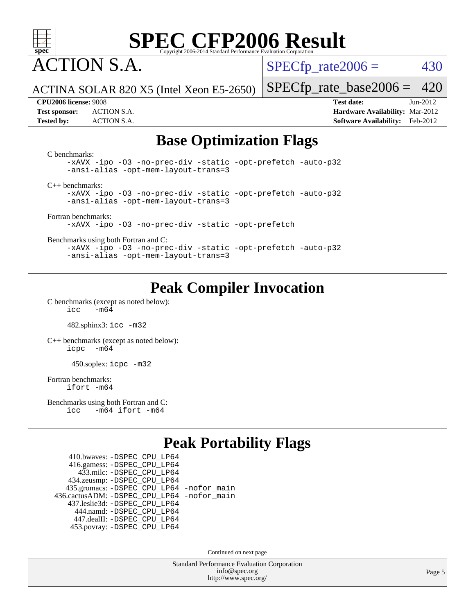

ACTION S.A.

 $SPECTp\_rate2006 = 430$ 

ACTINA SOLAR 820 X5 (Intel Xeon E5-2650)

[SPECfp\\_rate\\_base2006 =](http://www.spec.org/auto/cpu2006/Docs/result-fields.html#SPECfpratebase2006) 420

**[CPU2006 license:](http://www.spec.org/auto/cpu2006/Docs/result-fields.html#CPU2006license)** 9008 **[Test date:](http://www.spec.org/auto/cpu2006/Docs/result-fields.html#Testdate)** Jun-2012 **[Test sponsor:](http://www.spec.org/auto/cpu2006/Docs/result-fields.html#Testsponsor)** ACTION S.A. **[Hardware Availability:](http://www.spec.org/auto/cpu2006/Docs/result-fields.html#HardwareAvailability)** Mar-2012 **[Tested by:](http://www.spec.org/auto/cpu2006/Docs/result-fields.html#Testedby)** ACTION S.A. **[Software Availability:](http://www.spec.org/auto/cpu2006/Docs/result-fields.html#SoftwareAvailability)** Feb-2012

## **[Base Optimization Flags](http://www.spec.org/auto/cpu2006/Docs/result-fields.html#BaseOptimizationFlags)**

[C benchmarks](http://www.spec.org/auto/cpu2006/Docs/result-fields.html#Cbenchmarks): [-xAVX](http://www.spec.org/cpu2006/results/res2012q3/cpu2006-20120618-22987.flags.html#user_CCbase_f-xAVX) [-ipo](http://www.spec.org/cpu2006/results/res2012q3/cpu2006-20120618-22987.flags.html#user_CCbase_f-ipo) [-O3](http://www.spec.org/cpu2006/results/res2012q3/cpu2006-20120618-22987.flags.html#user_CCbase_f-O3) [-no-prec-div](http://www.spec.org/cpu2006/results/res2012q3/cpu2006-20120618-22987.flags.html#user_CCbase_f-no-prec-div) [-static](http://www.spec.org/cpu2006/results/res2012q3/cpu2006-20120618-22987.flags.html#user_CCbase_f-static) [-opt-prefetch](http://www.spec.org/cpu2006/results/res2012q3/cpu2006-20120618-22987.flags.html#user_CCbase_f-opt-prefetch) [-auto-p32](http://www.spec.org/cpu2006/results/res2012q3/cpu2006-20120618-22987.flags.html#user_CCbase_f-auto-p32) [-ansi-alias](http://www.spec.org/cpu2006/results/res2012q3/cpu2006-20120618-22987.flags.html#user_CCbase_f-ansi-alias) [-opt-mem-layout-trans=3](http://www.spec.org/cpu2006/results/res2012q3/cpu2006-20120618-22987.flags.html#user_CCbase_f-opt-mem-layout-trans_a7b82ad4bd7abf52556d4961a2ae94d5) [C++ benchmarks:](http://www.spec.org/auto/cpu2006/Docs/result-fields.html#CXXbenchmarks) [-xAVX](http://www.spec.org/cpu2006/results/res2012q3/cpu2006-20120618-22987.flags.html#user_CXXbase_f-xAVX) [-ipo](http://www.spec.org/cpu2006/results/res2012q3/cpu2006-20120618-22987.flags.html#user_CXXbase_f-ipo) [-O3](http://www.spec.org/cpu2006/results/res2012q3/cpu2006-20120618-22987.flags.html#user_CXXbase_f-O3) [-no-prec-div](http://www.spec.org/cpu2006/results/res2012q3/cpu2006-20120618-22987.flags.html#user_CXXbase_f-no-prec-div) [-static](http://www.spec.org/cpu2006/results/res2012q3/cpu2006-20120618-22987.flags.html#user_CXXbase_f-static) [-opt-prefetch](http://www.spec.org/cpu2006/results/res2012q3/cpu2006-20120618-22987.flags.html#user_CXXbase_f-opt-prefetch) [-auto-p32](http://www.spec.org/cpu2006/results/res2012q3/cpu2006-20120618-22987.flags.html#user_CXXbase_f-auto-p32) [-ansi-alias](http://www.spec.org/cpu2006/results/res2012q3/cpu2006-20120618-22987.flags.html#user_CXXbase_f-ansi-alias) [-opt-mem-layout-trans=3](http://www.spec.org/cpu2006/results/res2012q3/cpu2006-20120618-22987.flags.html#user_CXXbase_f-opt-mem-layout-trans_a7b82ad4bd7abf52556d4961a2ae94d5) [Fortran benchmarks](http://www.spec.org/auto/cpu2006/Docs/result-fields.html#Fortranbenchmarks): [-xAVX](http://www.spec.org/cpu2006/results/res2012q3/cpu2006-20120618-22987.flags.html#user_FCbase_f-xAVX) [-ipo](http://www.spec.org/cpu2006/results/res2012q3/cpu2006-20120618-22987.flags.html#user_FCbase_f-ipo) [-O3](http://www.spec.org/cpu2006/results/res2012q3/cpu2006-20120618-22987.flags.html#user_FCbase_f-O3) [-no-prec-div](http://www.spec.org/cpu2006/results/res2012q3/cpu2006-20120618-22987.flags.html#user_FCbase_f-no-prec-div) [-static](http://www.spec.org/cpu2006/results/res2012q3/cpu2006-20120618-22987.flags.html#user_FCbase_f-static) [-opt-prefetch](http://www.spec.org/cpu2006/results/res2012q3/cpu2006-20120618-22987.flags.html#user_FCbase_f-opt-prefetch) [Benchmarks using both Fortran and C](http://www.spec.org/auto/cpu2006/Docs/result-fields.html#BenchmarksusingbothFortranandC): [-xAVX](http://www.spec.org/cpu2006/results/res2012q3/cpu2006-20120618-22987.flags.html#user_CC_FCbase_f-xAVX) [-ipo](http://www.spec.org/cpu2006/results/res2012q3/cpu2006-20120618-22987.flags.html#user_CC_FCbase_f-ipo) [-O3](http://www.spec.org/cpu2006/results/res2012q3/cpu2006-20120618-22987.flags.html#user_CC_FCbase_f-O3) [-no-prec-div](http://www.spec.org/cpu2006/results/res2012q3/cpu2006-20120618-22987.flags.html#user_CC_FCbase_f-no-prec-div) [-static](http://www.spec.org/cpu2006/results/res2012q3/cpu2006-20120618-22987.flags.html#user_CC_FCbase_f-static) [-opt-prefetch](http://www.spec.org/cpu2006/results/res2012q3/cpu2006-20120618-22987.flags.html#user_CC_FCbase_f-opt-prefetch) [-auto-p32](http://www.spec.org/cpu2006/results/res2012q3/cpu2006-20120618-22987.flags.html#user_CC_FCbase_f-auto-p32) [-ansi-alias](http://www.spec.org/cpu2006/results/res2012q3/cpu2006-20120618-22987.flags.html#user_CC_FCbase_f-ansi-alias) [-opt-mem-layout-trans=3](http://www.spec.org/cpu2006/results/res2012q3/cpu2006-20120618-22987.flags.html#user_CC_FCbase_f-opt-mem-layout-trans_a7b82ad4bd7abf52556d4961a2ae94d5)

## **[Peak Compiler Invocation](http://www.spec.org/auto/cpu2006/Docs/result-fields.html#PeakCompilerInvocation)**

[C benchmarks \(except as noted below\)](http://www.spec.org/auto/cpu2006/Docs/result-fields.html#Cbenchmarksexceptasnotedbelow):  $\text{icc}$  -m64

482.sphinx3: [icc -m32](http://www.spec.org/cpu2006/results/res2012q3/cpu2006-20120618-22987.flags.html#user_peakCCLD482_sphinx3_intel_icc_a6a621f8d50482236b970c6ac5f55f93)

[C++ benchmarks \(except as noted below\):](http://www.spec.org/auto/cpu2006/Docs/result-fields.html#CXXbenchmarksexceptasnotedbelow) [icpc -m64](http://www.spec.org/cpu2006/results/res2012q3/cpu2006-20120618-22987.flags.html#user_CXXpeak_intel_icpc_64bit_bedb90c1146cab66620883ef4f41a67e)

450.soplex: [icpc -m32](http://www.spec.org/cpu2006/results/res2012q3/cpu2006-20120618-22987.flags.html#user_peakCXXLD450_soplex_intel_icpc_4e5a5ef1a53fd332b3c49e69c3330699)

[Fortran benchmarks](http://www.spec.org/auto/cpu2006/Docs/result-fields.html#Fortranbenchmarks): [ifort -m64](http://www.spec.org/cpu2006/results/res2012q3/cpu2006-20120618-22987.flags.html#user_FCpeak_intel_ifort_64bit_ee9d0fb25645d0210d97eb0527dcc06e)

[Benchmarks using both Fortran and C](http://www.spec.org/auto/cpu2006/Docs/result-fields.html#BenchmarksusingbothFortranandC): [icc -m64](http://www.spec.org/cpu2006/results/res2012q3/cpu2006-20120618-22987.flags.html#user_CC_FCpeak_intel_icc_64bit_0b7121f5ab7cfabee23d88897260401c) [ifort -m64](http://www.spec.org/cpu2006/results/res2012q3/cpu2006-20120618-22987.flags.html#user_CC_FCpeak_intel_ifort_64bit_ee9d0fb25645d0210d97eb0527dcc06e)

## **[Peak Portability Flags](http://www.spec.org/auto/cpu2006/Docs/result-fields.html#PeakPortabilityFlags)**

 410.bwaves: [-DSPEC\\_CPU\\_LP64](http://www.spec.org/cpu2006/results/res2012q3/cpu2006-20120618-22987.flags.html#suite_peakPORTABILITY410_bwaves_DSPEC_CPU_LP64) 416.gamess: [-DSPEC\\_CPU\\_LP64](http://www.spec.org/cpu2006/results/res2012q3/cpu2006-20120618-22987.flags.html#suite_peakPORTABILITY416_gamess_DSPEC_CPU_LP64) 433.milc: [-DSPEC\\_CPU\\_LP64](http://www.spec.org/cpu2006/results/res2012q3/cpu2006-20120618-22987.flags.html#suite_peakPORTABILITY433_milc_DSPEC_CPU_LP64) 434.zeusmp: [-DSPEC\\_CPU\\_LP64](http://www.spec.org/cpu2006/results/res2012q3/cpu2006-20120618-22987.flags.html#suite_peakPORTABILITY434_zeusmp_DSPEC_CPU_LP64) 435.gromacs: [-DSPEC\\_CPU\\_LP64](http://www.spec.org/cpu2006/results/res2012q3/cpu2006-20120618-22987.flags.html#suite_peakPORTABILITY435_gromacs_DSPEC_CPU_LP64) [-nofor\\_main](http://www.spec.org/cpu2006/results/res2012q3/cpu2006-20120618-22987.flags.html#user_peakLDPORTABILITY435_gromacs_f-nofor_main) 436.cactusADM: [-DSPEC\\_CPU\\_LP64](http://www.spec.org/cpu2006/results/res2012q3/cpu2006-20120618-22987.flags.html#suite_peakPORTABILITY436_cactusADM_DSPEC_CPU_LP64) [-nofor\\_main](http://www.spec.org/cpu2006/results/res2012q3/cpu2006-20120618-22987.flags.html#user_peakLDPORTABILITY436_cactusADM_f-nofor_main) 437.leslie3d: [-DSPEC\\_CPU\\_LP64](http://www.spec.org/cpu2006/results/res2012q3/cpu2006-20120618-22987.flags.html#suite_peakPORTABILITY437_leslie3d_DSPEC_CPU_LP64) 444.namd: [-DSPEC\\_CPU\\_LP64](http://www.spec.org/cpu2006/results/res2012q3/cpu2006-20120618-22987.flags.html#suite_peakPORTABILITY444_namd_DSPEC_CPU_LP64) 447.dealII: [-DSPEC\\_CPU\\_LP64](http://www.spec.org/cpu2006/results/res2012q3/cpu2006-20120618-22987.flags.html#suite_peakPORTABILITY447_dealII_DSPEC_CPU_LP64) 453.povray: [-DSPEC\\_CPU\\_LP64](http://www.spec.org/cpu2006/results/res2012q3/cpu2006-20120618-22987.flags.html#suite_peakPORTABILITY453_povray_DSPEC_CPU_LP64)

Continued on next page

Standard Performance Evaluation Corporation [info@spec.org](mailto:info@spec.org) <http://www.spec.org/>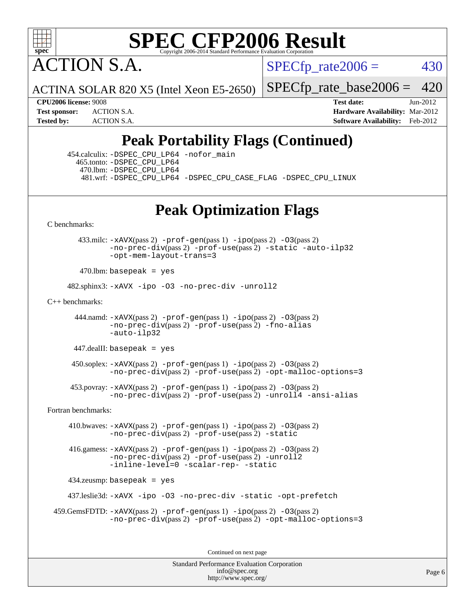

ACTION S.A.

 $SPECTp\_rate2006 = 430$ 

ACTINA SOLAR 820 X5 (Intel Xeon E5-2650)

[SPECfp\\_rate\\_base2006 =](http://www.spec.org/auto/cpu2006/Docs/result-fields.html#SPECfpratebase2006) 420

**[CPU2006 license:](http://www.spec.org/auto/cpu2006/Docs/result-fields.html#CPU2006license)** 9008 **[Test date:](http://www.spec.org/auto/cpu2006/Docs/result-fields.html#Testdate)** Jun-2012 **[Test sponsor:](http://www.spec.org/auto/cpu2006/Docs/result-fields.html#Testsponsor)** ACTION S.A. **[Hardware Availability:](http://www.spec.org/auto/cpu2006/Docs/result-fields.html#HardwareAvailability)** Mar-2012 **[Tested by:](http://www.spec.org/auto/cpu2006/Docs/result-fields.html#Testedby)** ACTION S.A. **[Software Availability:](http://www.spec.org/auto/cpu2006/Docs/result-fields.html#SoftwareAvailability)** Feb-2012

## **[Peak Portability Flags \(Continued\)](http://www.spec.org/auto/cpu2006/Docs/result-fields.html#PeakPortabilityFlags)**

 454.calculix: [-DSPEC\\_CPU\\_LP64](http://www.spec.org/cpu2006/results/res2012q3/cpu2006-20120618-22987.flags.html#suite_peakPORTABILITY454_calculix_DSPEC_CPU_LP64) [-nofor\\_main](http://www.spec.org/cpu2006/results/res2012q3/cpu2006-20120618-22987.flags.html#user_peakLDPORTABILITY454_calculix_f-nofor_main) 465.tonto: [-DSPEC\\_CPU\\_LP64](http://www.spec.org/cpu2006/results/res2012q3/cpu2006-20120618-22987.flags.html#suite_peakPORTABILITY465_tonto_DSPEC_CPU_LP64) 470.lbm: [-DSPEC\\_CPU\\_LP64](http://www.spec.org/cpu2006/results/res2012q3/cpu2006-20120618-22987.flags.html#suite_peakPORTABILITY470_lbm_DSPEC_CPU_LP64) 481.wrf: [-DSPEC\\_CPU\\_LP64](http://www.spec.org/cpu2006/results/res2012q3/cpu2006-20120618-22987.flags.html#suite_peakPORTABILITY481_wrf_DSPEC_CPU_LP64) [-DSPEC\\_CPU\\_CASE\\_FLAG](http://www.spec.org/cpu2006/results/res2012q3/cpu2006-20120618-22987.flags.html#b481.wrf_peakCPORTABILITY_DSPEC_CPU_CASE_FLAG) [-DSPEC\\_CPU\\_LINUX](http://www.spec.org/cpu2006/results/res2012q3/cpu2006-20120618-22987.flags.html#b481.wrf_peakCPORTABILITY_DSPEC_CPU_LINUX)

## **[Peak Optimization Flags](http://www.spec.org/auto/cpu2006/Docs/result-fields.html#PeakOptimizationFlags)**

[C benchmarks](http://www.spec.org/auto/cpu2006/Docs/result-fields.html#Cbenchmarks):

 433.milc: [-xAVX](http://www.spec.org/cpu2006/results/res2012q3/cpu2006-20120618-22987.flags.html#user_peakPASS2_CFLAGSPASS2_LDFLAGS433_milc_f-xAVX)(pass 2) [-prof-gen](http://www.spec.org/cpu2006/results/res2012q3/cpu2006-20120618-22987.flags.html#user_peakPASS1_CFLAGSPASS1_LDFLAGS433_milc_prof_gen_e43856698f6ca7b7e442dfd80e94a8fc)(pass 1) [-ipo](http://www.spec.org/cpu2006/results/res2012q3/cpu2006-20120618-22987.flags.html#user_peakPASS2_CFLAGSPASS2_LDFLAGS433_milc_f-ipo)(pass 2) [-O3](http://www.spec.org/cpu2006/results/res2012q3/cpu2006-20120618-22987.flags.html#user_peakPASS2_CFLAGSPASS2_LDFLAGS433_milc_f-O3)(pass 2) [-no-prec-div](http://www.spec.org/cpu2006/results/res2012q3/cpu2006-20120618-22987.flags.html#user_peakPASS2_CFLAGSPASS2_LDFLAGS433_milc_f-no-prec-div)(pass 2) [-prof-use](http://www.spec.org/cpu2006/results/res2012q3/cpu2006-20120618-22987.flags.html#user_peakPASS2_CFLAGSPASS2_LDFLAGS433_milc_prof_use_bccf7792157ff70d64e32fe3e1250b55)(pass 2) [-static](http://www.spec.org/cpu2006/results/res2012q3/cpu2006-20120618-22987.flags.html#user_peakOPTIMIZE433_milc_f-static) [-auto-ilp32](http://www.spec.org/cpu2006/results/res2012q3/cpu2006-20120618-22987.flags.html#user_peakCOPTIMIZE433_milc_f-auto-ilp32) [-opt-mem-layout-trans=3](http://www.spec.org/cpu2006/results/res2012q3/cpu2006-20120618-22987.flags.html#user_peakCOPTIMIZE433_milc_f-opt-mem-layout-trans_a7b82ad4bd7abf52556d4961a2ae94d5)

 $470$ .lbm: basepeak = yes

482.sphinx3: [-xAVX](http://www.spec.org/cpu2006/results/res2012q3/cpu2006-20120618-22987.flags.html#user_peakOPTIMIZE482_sphinx3_f-xAVX) [-ipo](http://www.spec.org/cpu2006/results/res2012q3/cpu2006-20120618-22987.flags.html#user_peakOPTIMIZE482_sphinx3_f-ipo) [-O3](http://www.spec.org/cpu2006/results/res2012q3/cpu2006-20120618-22987.flags.html#user_peakOPTIMIZE482_sphinx3_f-O3) [-no-prec-div](http://www.spec.org/cpu2006/results/res2012q3/cpu2006-20120618-22987.flags.html#user_peakOPTIMIZE482_sphinx3_f-no-prec-div) [-unroll2](http://www.spec.org/cpu2006/results/res2012q3/cpu2006-20120618-22987.flags.html#user_peakCOPTIMIZE482_sphinx3_f-unroll_784dae83bebfb236979b41d2422d7ec2)

[C++ benchmarks:](http://www.spec.org/auto/cpu2006/Docs/result-fields.html#CXXbenchmarks)

444.namd:  $-x$ AVX(pass 2)  $-p$ rof-gen(pass 1)  $-p$ po(pass 2)  $-03$ (pass 2) [-no-prec-div](http://www.spec.org/cpu2006/results/res2012q3/cpu2006-20120618-22987.flags.html#user_peakPASS2_CXXFLAGSPASS2_LDFLAGS444_namd_f-no-prec-div)(pass 2) [-prof-use](http://www.spec.org/cpu2006/results/res2012q3/cpu2006-20120618-22987.flags.html#user_peakPASS2_CXXFLAGSPASS2_LDFLAGS444_namd_prof_use_bccf7792157ff70d64e32fe3e1250b55)(pass 2) [-fno-alias](http://www.spec.org/cpu2006/results/res2012q3/cpu2006-20120618-22987.flags.html#user_peakCXXOPTIMIZE444_namd_f-no-alias_694e77f6c5a51e658e82ccff53a9e63a) [-auto-ilp32](http://www.spec.org/cpu2006/results/res2012q3/cpu2006-20120618-22987.flags.html#user_peakCXXOPTIMIZE444_namd_f-auto-ilp32)

447.dealII: basepeak = yes

 $450$ .soplex:  $-x$ AVX(pass 2)  $-p$ rof-gen(pass 1)  $-i$ po(pass 2)  $-03$ (pass 2) [-no-prec-div](http://www.spec.org/cpu2006/results/res2012q3/cpu2006-20120618-22987.flags.html#user_peakPASS2_CXXFLAGSPASS2_LDFLAGS450_soplex_f-no-prec-div)(pass 2) [-prof-use](http://www.spec.org/cpu2006/results/res2012q3/cpu2006-20120618-22987.flags.html#user_peakPASS2_CXXFLAGSPASS2_LDFLAGS450_soplex_prof_use_bccf7792157ff70d64e32fe3e1250b55)(pass 2) [-opt-malloc-options=3](http://www.spec.org/cpu2006/results/res2012q3/cpu2006-20120618-22987.flags.html#user_peakOPTIMIZE450_soplex_f-opt-malloc-options_13ab9b803cf986b4ee62f0a5998c2238)

 453.povray: [-xAVX](http://www.spec.org/cpu2006/results/res2012q3/cpu2006-20120618-22987.flags.html#user_peakPASS2_CXXFLAGSPASS2_LDFLAGS453_povray_f-xAVX)(pass 2) [-prof-gen](http://www.spec.org/cpu2006/results/res2012q3/cpu2006-20120618-22987.flags.html#user_peakPASS1_CXXFLAGSPASS1_LDFLAGS453_povray_prof_gen_e43856698f6ca7b7e442dfd80e94a8fc)(pass 1) [-ipo](http://www.spec.org/cpu2006/results/res2012q3/cpu2006-20120618-22987.flags.html#user_peakPASS2_CXXFLAGSPASS2_LDFLAGS453_povray_f-ipo)(pass 2) [-O3](http://www.spec.org/cpu2006/results/res2012q3/cpu2006-20120618-22987.flags.html#user_peakPASS2_CXXFLAGSPASS2_LDFLAGS453_povray_f-O3)(pass 2) [-no-prec-div](http://www.spec.org/cpu2006/results/res2012q3/cpu2006-20120618-22987.flags.html#user_peakPASS2_CXXFLAGSPASS2_LDFLAGS453_povray_f-no-prec-div)(pass 2) [-prof-use](http://www.spec.org/cpu2006/results/res2012q3/cpu2006-20120618-22987.flags.html#user_peakPASS2_CXXFLAGSPASS2_LDFLAGS453_povray_prof_use_bccf7792157ff70d64e32fe3e1250b55)(pass 2) [-unroll4](http://www.spec.org/cpu2006/results/res2012q3/cpu2006-20120618-22987.flags.html#user_peakCXXOPTIMIZE453_povray_f-unroll_4e5e4ed65b7fd20bdcd365bec371b81f) [-ansi-alias](http://www.spec.org/cpu2006/results/res2012q3/cpu2006-20120618-22987.flags.html#user_peakCXXOPTIMIZE453_povray_f-ansi-alias)

[Fortran benchmarks](http://www.spec.org/auto/cpu2006/Docs/result-fields.html#Fortranbenchmarks):

 410.bwaves: [-xAVX](http://www.spec.org/cpu2006/results/res2012q3/cpu2006-20120618-22987.flags.html#user_peakPASS2_FFLAGSPASS2_LDFLAGS410_bwaves_f-xAVX)(pass 2) [-prof-gen](http://www.spec.org/cpu2006/results/res2012q3/cpu2006-20120618-22987.flags.html#user_peakPASS1_FFLAGSPASS1_LDFLAGS410_bwaves_prof_gen_e43856698f6ca7b7e442dfd80e94a8fc)(pass 1) [-ipo](http://www.spec.org/cpu2006/results/res2012q3/cpu2006-20120618-22987.flags.html#user_peakPASS2_FFLAGSPASS2_LDFLAGS410_bwaves_f-ipo)(pass 2) [-O3](http://www.spec.org/cpu2006/results/res2012q3/cpu2006-20120618-22987.flags.html#user_peakPASS2_FFLAGSPASS2_LDFLAGS410_bwaves_f-O3)(pass 2) [-no-prec-div](http://www.spec.org/cpu2006/results/res2012q3/cpu2006-20120618-22987.flags.html#user_peakPASS2_FFLAGSPASS2_LDFLAGS410_bwaves_f-no-prec-div)(pass 2) [-prof-use](http://www.spec.org/cpu2006/results/res2012q3/cpu2006-20120618-22987.flags.html#user_peakPASS2_FFLAGSPASS2_LDFLAGS410_bwaves_prof_use_bccf7792157ff70d64e32fe3e1250b55)(pass 2) [-static](http://www.spec.org/cpu2006/results/res2012q3/cpu2006-20120618-22987.flags.html#user_peakOPTIMIZE410_bwaves_f-static)

 416.gamess: [-xAVX](http://www.spec.org/cpu2006/results/res2012q3/cpu2006-20120618-22987.flags.html#user_peakPASS2_FFLAGSPASS2_LDFLAGS416_gamess_f-xAVX)(pass 2) [-prof-gen](http://www.spec.org/cpu2006/results/res2012q3/cpu2006-20120618-22987.flags.html#user_peakPASS1_FFLAGSPASS1_LDFLAGS416_gamess_prof_gen_e43856698f6ca7b7e442dfd80e94a8fc)(pass 1) [-ipo](http://www.spec.org/cpu2006/results/res2012q3/cpu2006-20120618-22987.flags.html#user_peakPASS2_FFLAGSPASS2_LDFLAGS416_gamess_f-ipo)(pass 2) [-O3](http://www.spec.org/cpu2006/results/res2012q3/cpu2006-20120618-22987.flags.html#user_peakPASS2_FFLAGSPASS2_LDFLAGS416_gamess_f-O3)(pass 2)  $-$ no-prec-div $(pass 2)$  [-prof-use](http://www.spec.org/cpu2006/results/res2012q3/cpu2006-20120618-22987.flags.html#user_peakPASS2_FFLAGSPASS2_LDFLAGS416_gamess_prof_use_bccf7792157ff70d64e32fe3e1250b55) $(pass 2)$  [-unroll2](http://www.spec.org/cpu2006/results/res2012q3/cpu2006-20120618-22987.flags.html#user_peakOPTIMIZE416_gamess_f-unroll_784dae83bebfb236979b41d2422d7ec2) [-inline-level=0](http://www.spec.org/cpu2006/results/res2012q3/cpu2006-20120618-22987.flags.html#user_peakOPTIMIZE416_gamess_f-inline-level_318d07a09274ad25e8d15dbfaa68ba50) [-scalar-rep-](http://www.spec.org/cpu2006/results/res2012q3/cpu2006-20120618-22987.flags.html#user_peakOPTIMIZE416_gamess_f-disablescalarrep_abbcad04450fb118e4809c81d83c8a1d) [-static](http://www.spec.org/cpu2006/results/res2012q3/cpu2006-20120618-22987.flags.html#user_peakOPTIMIZE416_gamess_f-static)

434.zeusmp: basepeak = yes

437.leslie3d: [-xAVX](http://www.spec.org/cpu2006/results/res2012q3/cpu2006-20120618-22987.flags.html#user_peakOPTIMIZE437_leslie3d_f-xAVX) [-ipo](http://www.spec.org/cpu2006/results/res2012q3/cpu2006-20120618-22987.flags.html#user_peakOPTIMIZE437_leslie3d_f-ipo) [-O3](http://www.spec.org/cpu2006/results/res2012q3/cpu2006-20120618-22987.flags.html#user_peakOPTIMIZE437_leslie3d_f-O3) [-no-prec-div](http://www.spec.org/cpu2006/results/res2012q3/cpu2006-20120618-22987.flags.html#user_peakOPTIMIZE437_leslie3d_f-no-prec-div) [-static](http://www.spec.org/cpu2006/results/res2012q3/cpu2006-20120618-22987.flags.html#user_peakOPTIMIZE437_leslie3d_f-static) [-opt-prefetch](http://www.spec.org/cpu2006/results/res2012q3/cpu2006-20120618-22987.flags.html#user_peakOPTIMIZE437_leslie3d_f-opt-prefetch)

```
 459.GemsFDTD: -xAVX(pass 2) -prof-gen(pass 1) -ipo(pass 2) -O3(pass 2)
              -no-prec-div(pass 2) -prof-use(pass 2) -opt-malloc-options=3
```
Continued on next page

Standard Performance Evaluation Corporation [info@spec.org](mailto:info@spec.org) <http://www.spec.org/>